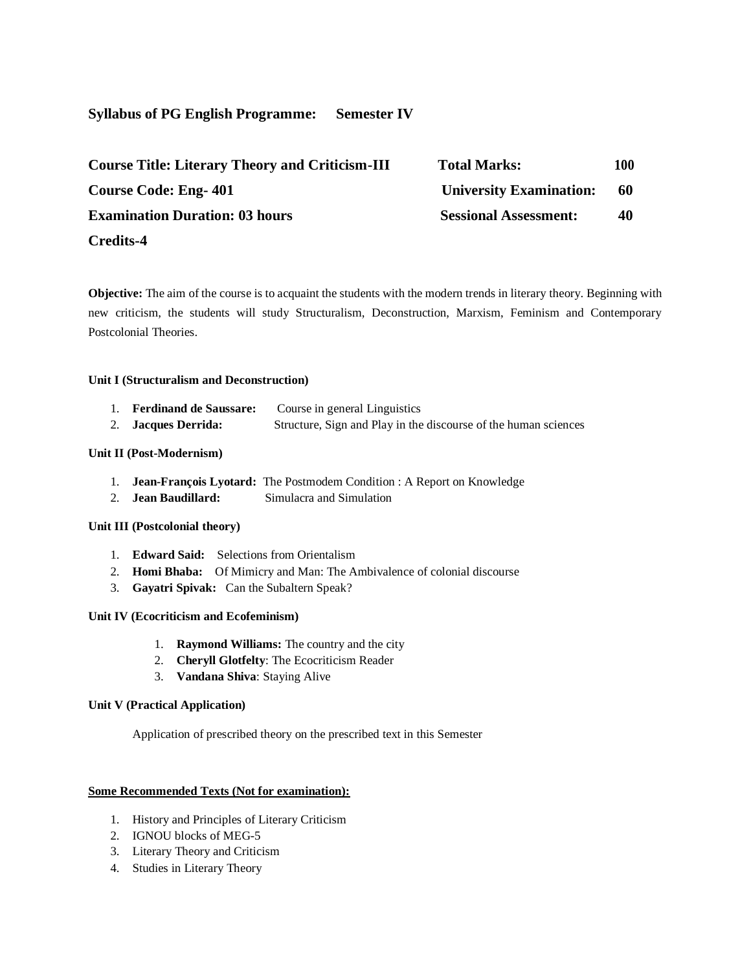# **Syllabus of PG English Programme: Semester IV**

| <b>Course Title: Literary Theory and Criticism-III</b> | <b>Total Marks:</b>            | 100 |
|--------------------------------------------------------|--------------------------------|-----|
| <b>Course Code: Eng-401</b>                            | <b>University Examination:</b> | -60 |
| <b>Examination Duration: 03 hours</b>                  | <b>Sessional Assessment:</b>   | 40  |
| <b>Credits-4</b>                                       |                                |     |

**Objective:** The aim of the course is to acquaint the students with the modern trends in literary theory. Beginning with new criticism, the students will study Structuralism, Deconstruction, Marxism, Feminism and Contemporary Postcolonial Theories.

#### **Unit I (Structuralism and Deconstruction)**

| <b>Ferdinand de Saussare:</b> | Course in general Linguistics                                   |
|-------------------------------|-----------------------------------------------------------------|
| 2. Jacques Derrida:           | Structure, Sign and Play in the discourse of the human sciences |

#### **Unit II (Post-Modernism)**

- 1. **Jean-François Lyotard:** The Postmodem Condition : A Report on Knowledge
- 2. **Jean Baudillard:** Simulacra and Simulation

#### **Unit III (Postcolonial theory)**

- 1. **Edward Said:** Selections from Orientalism
- 2. **Homi Bhaba:** Of Mimicry and Man: The Ambivalence of colonial discourse
- 3. **Gayatri Spivak:** Can the Subaltern Speak?

# **Unit IV (Ecocriticism and Ecofeminism)**

- 1. **Raymond Williams:** The country and the city
- 2. **Cheryll Glotfelty**: The Ecocriticism Reader
- 3. **Vandana Shiva**: Staying Alive

#### **Unit V (Practical Application)**

Application of prescribed theory on the prescribed text in this Semester

# **Some Recommended Texts (Not for examination):**

- 1. History and Principles of Literary Criticism
- 2. IGNOU blocks of MEG-5
- 3. Literary Theory and Criticism
- 4. Studies in Literary Theory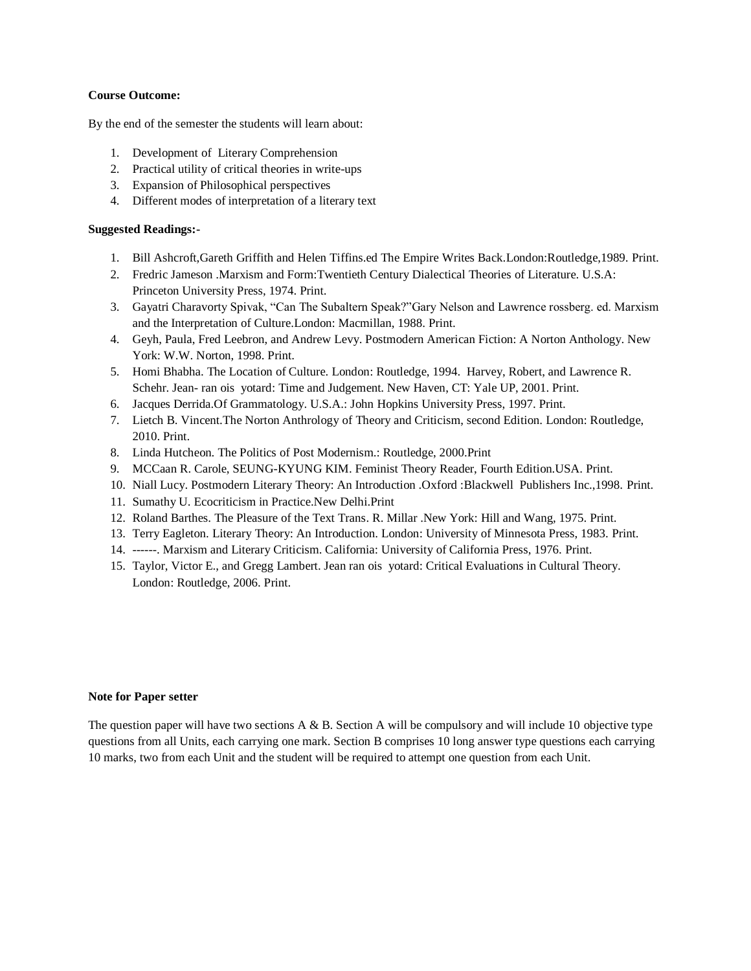#### **Course Outcome:**

By the end of the semester the students will learn about:

- 1. Development of Literary Comprehension
- 2. Practical utility of critical theories in write-ups
- 3. Expansion of Philosophical perspectives
- 4. Different modes of interpretation of a literary text

# **Suggested Readings:-**

- 1. Bill Ashcroft,Gareth Griffith and Helen Tiffins.ed The Empire Writes Back.London:Routledge,1989. Print.
- 2. Fredric Jameson .Marxism and Form:Twentieth Century Dialectical Theories of Literature. U.S.A: Princeton University Press, 1974. Print.
- 3. Gayatri Charavorty Spivak, "Can The Subaltern Speak?"Gary Nelson and Lawrence rossberg. ed. Marxism and the Interpretation of Culture.London: Macmillan, 1988. Print.
- 4. Geyh, Paula, Fred Leebron, and Andrew Levy. Postmodern American Fiction: A Norton Anthology. New York: W.W. Norton, 1998. Print.
- 5. Homi Bhabha. The Location of Culture. London: Routledge, 1994. Harvey, Robert, and Lawrence R. Schehr. Jean- ran ois yotard: Time and Judgement. New Haven, CT: Yale UP, 2001. Print.
- 6. Jacques Derrida.Of Grammatology. U.S.A.: John Hopkins University Press, 1997. Print.
- 7. Lietch B. Vincent.The Norton Anthrology of Theory and Criticism, second Edition. London: Routledge, 2010. Print.
- 8. Linda Hutcheon. The Politics of Post Modernism.: Routledge, 2000.Print
- 9. MCCaan R. Carole, SEUNG-KYUNG KIM. Feminist Theory Reader, Fourth Edition.USA. Print.
- 10. Niall Lucy. Postmodern Literary Theory: An Introduction .Oxford :Blackwell Publishers Inc.,1998. Print.
- 11. Sumathy U. Ecocriticism in Practice.New Delhi.Print
- 12. Roland Barthes. The Pleasure of the Text Trans. R. Millar .New York: Hill and Wang, 1975. Print.
- 13. Terry Eagleton. Literary Theory: An Introduction. London: University of Minnesota Press, 1983. Print.
- 14. ------. Marxism and Literary Criticism. California: University of California Press, 1976. Print.
- 15. Taylor, Victor E., and Gregg Lambert. Jean ran ois yotard: Critical Evaluations in Cultural Theory. London: Routledge, 2006. Print.

#### **Note for Paper setter**

The question paper will have two sections  $A \& B$ . Section A will be compulsory and will include 10 objective type questions from all Units, each carrying one mark. Section B comprises 10 long answer type questions each carrying 10 marks, two from each Unit and the student will be required to attempt one question from each Unit.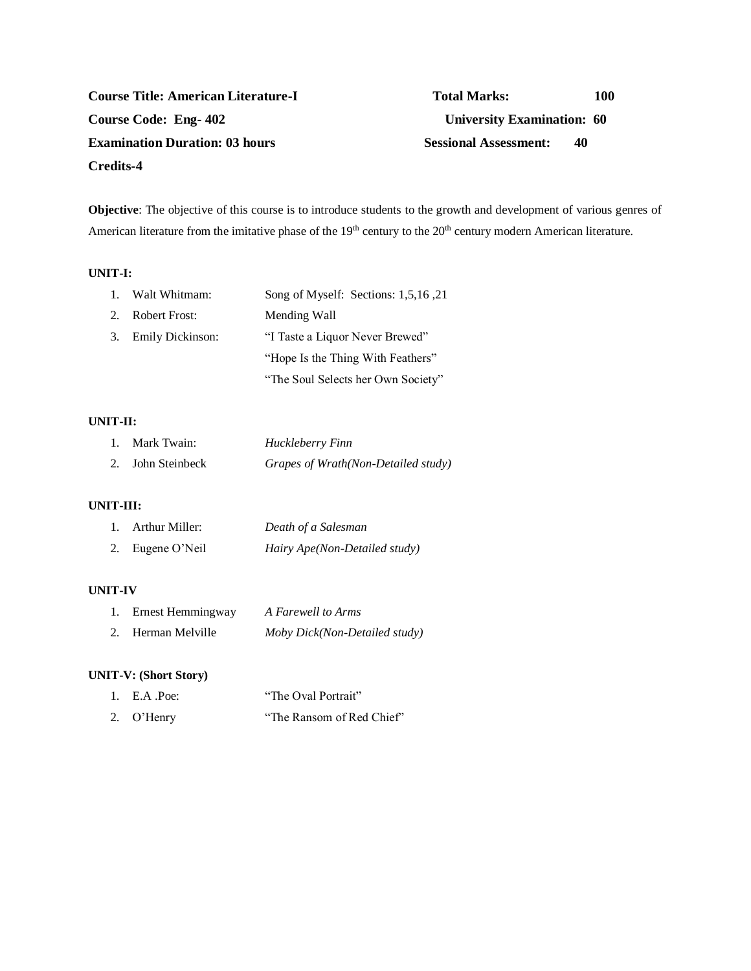# **Course Title: American Literature-I Total Marks:** 100 **Course Code: Eng- 402 University Examination: 60 Examination Duration: 03 hours Sessional Assessment: 40 Credits-4**

**Objective**: The objective of this course is to introduce students to the growth and development of various genres of American literature from the imitative phase of the 19<sup>th</sup> century to the 20<sup>th</sup> century modern American literature.

## **UNIT-I:**

|         | 1. Walt Whitmam:     | Song of Myself: Sections: 1,5,16,21 |
|---------|----------------------|-------------------------------------|
| $2_{1}$ | <b>Robert Frost:</b> | Mending Wall                        |
|         | 3. Emily Dickinson:  | "I Taste a Liquor Never Brewed"     |
|         |                      | "Hope Is the Thing With Feathers"   |
|         |                      | "The Soul Selects her Own Society"  |

#### **UNIT-II:**

| 1. Mark Twain: | Huckleberry Finn                    |
|----------------|-------------------------------------|
| John Steinbeck | Grapes of Wrath(Non-Detailed study) |

# **UNIT-III:**

| 1. Arthur Miller: | Death of a Salesman           |
|-------------------|-------------------------------|
| 2. Eugene O'Neil  | Hairy Ape(Non-Detailed study) |

## **UNIT-IV**

| 1. Ernest Hemmingway | A Farewell to Arms            |
|----------------------|-------------------------------|
| 2. Herman Melville   | Moby Dick(Non-Detailed study) |

# **UNIT-V: (Short Story)**

| 1. E.A $Poe$ : | "The Oval Portrait"       |
|----------------|---------------------------|
| 2. O'Henry     | "The Ransom of Red Chief" |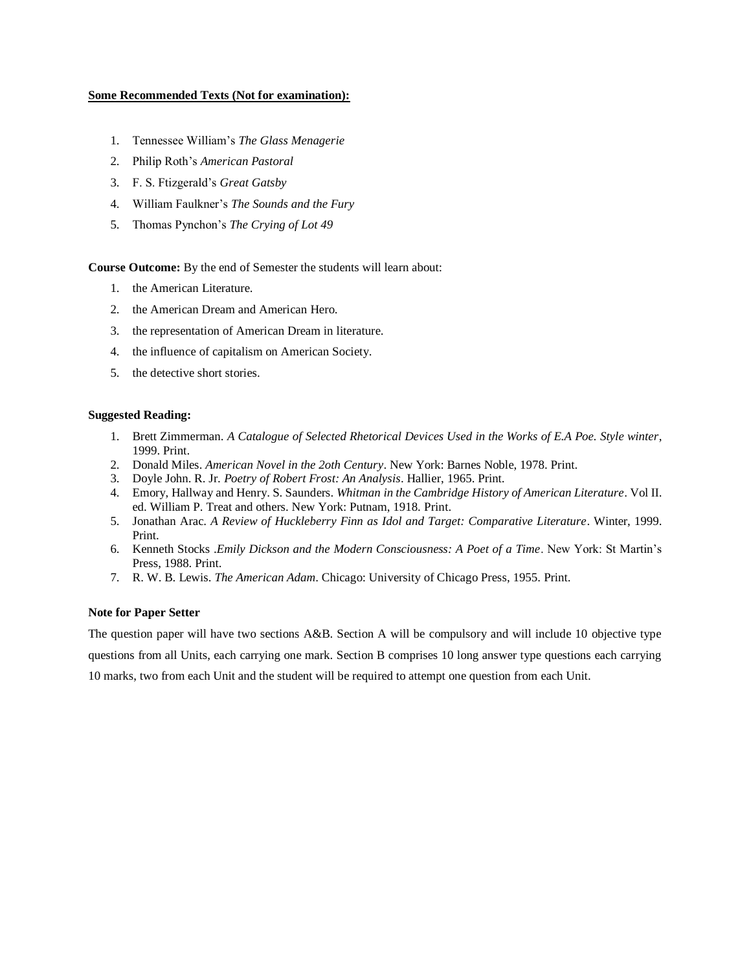#### **Some Recommended Texts (Not for examination):**

- 1. Tennessee William's *The Glass Menagerie*
- 2. Philip Roth's *American Pastoral*
- 3. F. S. Ftizgerald's *Great Gatsby*
- 4. William Faulkner's *The Sounds and the Fury*
- 5. Thomas Pynchon's *The Crying of Lot 49*

**Course Outcome:** By the end of Semester the students will learn about:

- 1. the American Literature.
- 2. the American Dream and American Hero.
- 3. the representation of American Dream in literature.
- 4. the influence of capitalism on American Society.
- 5. the detective short stories.

#### **Suggested Reading:**

- 1. Brett Zimmerman. *A Catalogue of Selected Rhetorical Devices Used in the Works of E.A Poe. Style winter*, 1999. Print.
- 2. Donald Miles. *American Novel in the 2oth Century*. New York: Barnes Noble, 1978. Print.
- 3. Doyle John. R. Jr. *Poetry of Robert Frost: An Analysis*. Hallier, 1965. Print.
- 4. Emory, Hallway and Henry. S. Saunders. *Whitman in the Cambridge History of American Literature*. Vol II. ed. William P. Treat and others. New York: Putnam, 1918. Print.
- 5. Jonathan Arac. *A Review of Huckleberry Finn as Idol and Target: Comparative Literature*. Winter, 1999. Print.
- 6. Kenneth Stocks .*Emily Dickson and the Modern Consciousness: A Poet of a Time*. New York: St Martin's Press, 1988. Print.
- 7. R. W. B. Lewis. *The American Adam*. Chicago: University of Chicago Press, 1955. Print.

#### **Note for Paper Setter**

The question paper will have two sections A&B. Section A will be compulsory and will include 10 objective type questions from all Units, each carrying one mark. Section B comprises 10 long answer type questions each carrying 10 marks, two from each Unit and the student will be required to attempt one question from each Unit.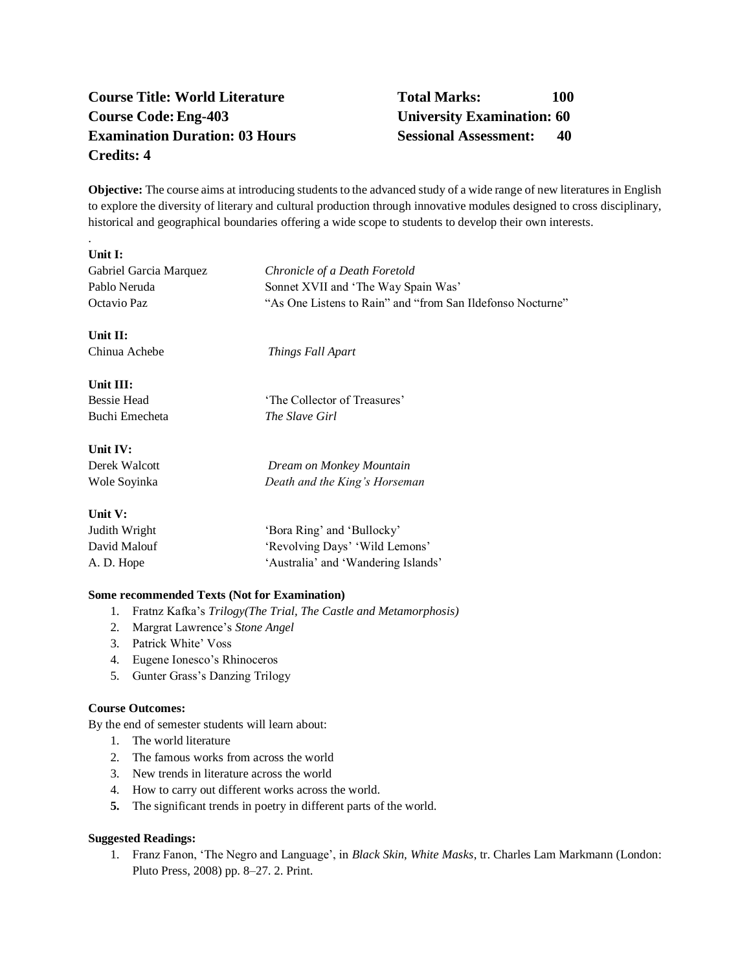# **Course Title: World Literature Total Marks: 100 Course Code:Eng-403 University Examination: 60 Examination Duration: 03 Hours Sessional Assessment: 40 Credits: 4**

**Objective:** The course aims at introducing students to the advanced study of a wide range of new literatures in English to explore the diversity of literary and cultural production through innovative modules designed to cross disciplinary, historical and geographical boundaries offering a wide scope to students to develop their own interests.

# **Unit I:**

.

| ошы.                   |                                                            |
|------------------------|------------------------------------------------------------|
| Gabriel Garcia Marquez | Chronicle of a Death Foretold                              |
| Pablo Neruda           | Sonnet XVII and 'The Way Spain Was'                        |
| Octavio Paz            | "As One Listens to Rain" and "from San Ildefonso Nocturne" |
| Unit II:               |                                                            |
| Chinua Achebe          | Things Fall Apart                                          |
| Unit III:              |                                                            |
| <b>Bessie Head</b>     | 'The Collector of Treasures'                               |
| Buchi Emecheta         | The Slave Girl                                             |
| Unit IV:               |                                                            |
| Derek Walcott          | Dream on Monkey Mountain                                   |
| Wole Soyinka           | Death and the King's Horseman                              |
| Unit V:                |                                                            |
| Judith Wright          | 'Bora Ring' and 'Bullocky'                                 |
| David Malouf           | 'Revolving Days' 'Wild Lemons'                             |
| A. D. Hope             | 'Australia' and 'Wandering Islands'                        |
|                        |                                                            |

# **Some recommended Texts (Not for Examination)**

- 1. Fratnz Kafka's *Trilogy(The Trial, The Castle and Metamorphosis)*
- 2. Margrat Lawrence's *Stone Angel*
- 3. Patrick White' Voss
- 4. Eugene Ionesco's Rhinoceros
- 5. Gunter Grass's Danzing Trilogy

### **Course Outcomes:**

By the end of semester students will learn about:

- 1. The world literature
- 2. The famous works from across the world
- 3. New trends in literature across the world
- 4. How to carry out different works across the world.
- **5.** The significant trends in poetry in different parts of the world.

#### **Suggested Readings:**

1. Franz Fanon, 'The Negro and Language', in *Black Skin, White Masks*, tr. Charles Lam Markmann (London: Pluto Press, 2008) pp. 8–27. 2. Print.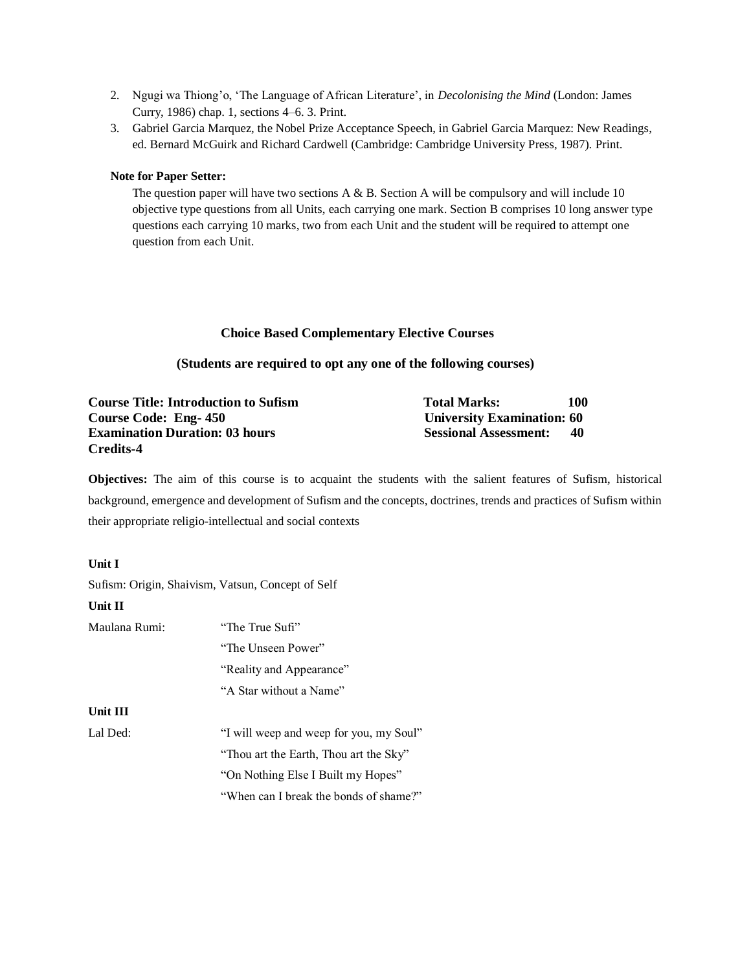- 2. Ngugi wa Thiong'o, 'The Language of African Literature', in *Decolonising the Mind* (London: James Curry, 1986) chap. 1, sections 4–6. 3. Print.
- 3. Gabriel Garcia Marquez, the Nobel Prize Acceptance Speech, in Gabriel Garcia Marquez: New Readings, ed. Bernard McGuirk and Richard Cardwell (Cambridge: Cambridge University Press, 1987). Print.

# **Note for Paper Setter:**

The question paper will have two sections  $A \& B$ . Section A will be compulsory and will include 10 objective type questions from all Units, each carrying one mark. Section B comprises 10 long answer type questions each carrying 10 marks, two from each Unit and the student will be required to attempt one question from each Unit.

# **Choice Based Complementary Elective Courses**

# **(Students are required to opt any one of the following courses)**

| <b>Course Title: Introduction to Sufism</b> | <b>Total Marks:</b>               | 100 |
|---------------------------------------------|-----------------------------------|-----|
| Course Code: Eng-450                        | <b>University Examination: 60</b> |     |
| <b>Examination Duration: 03 hours</b>       | <b>Sessional Assessment:</b>      | -40 |
| Credits-4                                   |                                   |     |

**Objectives:** The aim of this course is to acquaint the students with the salient features of Sufism, historical background, emergence and development of Sufism and the concepts, doctrines, trends and practices of Sufism within their appropriate religio-intellectual and social contexts

# **Unit I**

Sufism: Origin, Shaivism, Vatsun, Concept of Self

# **Unit II**

| Maulana Rumi: | "The True Sufi"                         |
|---------------|-----------------------------------------|
|               | "The Unseen Power"                      |
|               | "Reality and Appearance"                |
|               | "A Star without a Name"                 |
| Unit III      |                                         |
| Lal Ded:      | "I will weep and weep for you, my Soul" |
|               | "Thou art the Earth, Thou art the Sky"  |
|               | "On Nothing Else I Built my Hopes"      |
|               | "When can I break the bonds of shame?"  |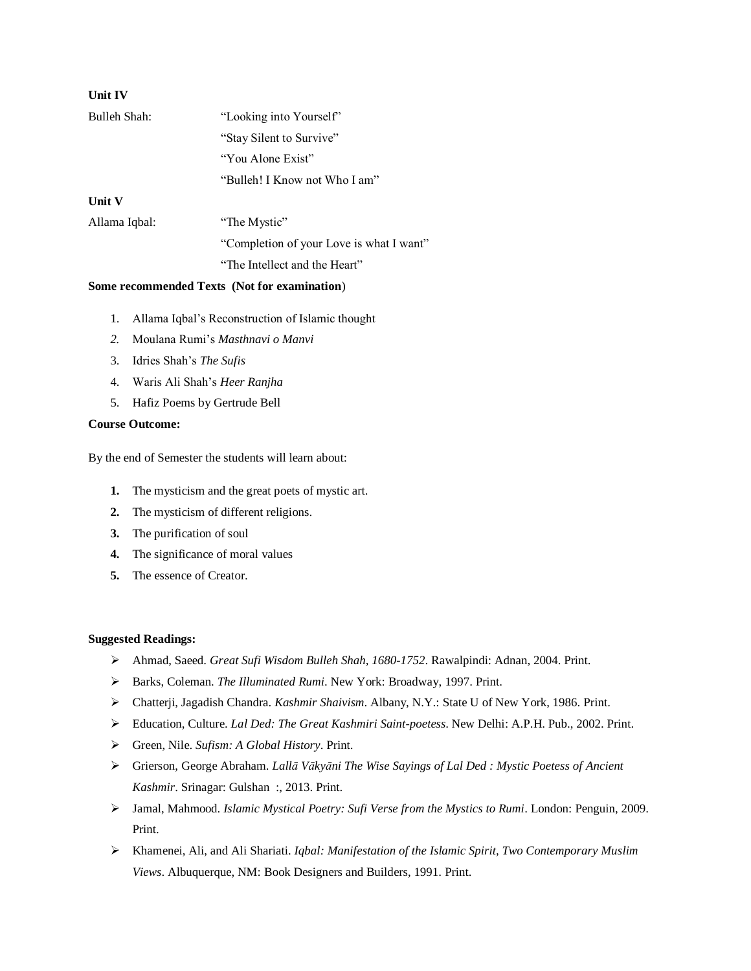| Unit IV       |                                          |
|---------------|------------------------------------------|
| Bulleh Shah:  | "Looking into Yourself"                  |
|               | "Stay Silent to Survive"                 |
|               | "You Alone Exist"                        |
|               | "Bulleh! I Know not Who I am"            |
| Unit V        |                                          |
| Allama Iqbal: | "The Mystic"                             |
|               | "Completion of your Love is what I want" |
|               |                                          |

"The Intellect and the Heart"

# **Some recommended Texts (Not for examination**)

- 1. Allama Iqbal's Reconstruction of Islamic thought
- *2.* Moulana Rumi's *Masthnavi o Manvi*
- 3. Idries Shah's *The Sufis*
- 4. Waris Ali Shah's *Heer Ranjha*
- 5. Hafiz Poems by Gertrude Bell

# **Course Outcome:**

By the end of Semester the students will learn about:

- **1.** The mysticism and the great poets of mystic art.
- **2.** The mysticism of different religions.
- **3.** The purification of soul
- **4.** The significance of moral values
- **5.** The essence of Creator.

## **Suggested Readings:**

- ➢ Ahmad, Saeed. *Great Sufi Wisdom Bulleh Shah, 1680-1752*. Rawalpindi: Adnan, 2004. Print.
- ➢ Barks, Coleman. *The Illuminated Rumi*. New York: Broadway, 1997. Print.
- ➢ Chatterji, Jagadish Chandra. *Kashmir Shaivism*. Albany, N.Y.: State U of New York, 1986. Print.
- ➢ Education, Culture. *Lal Ded: The Great Kashmiri Saint-poetess*. New Delhi: A.P.H. Pub., 2002. Print.
- ➢ Green, Nile. *Sufism: A Global History*. Print.
- ➢ Grierson, George Abraham. *Lallā Vākyāni The Wise Sayings of Lal Ded : Mystic Poetess of Ancient Kashmir*. Srinagar: Gulshan :, 2013. Print.
- ➢ Jamal, Mahmood. *Islamic Mystical Poetry: Sufi Verse from the Mystics to Rumi*. London: Penguin, 2009. Print.
- ➢ Khamenei, Ali, and Ali Shariati. *Iqbal: Manifestation of the Islamic Spirit, Two Contemporary Muslim Views*. Albuquerque, NM: Book Designers and Builders, 1991. Print.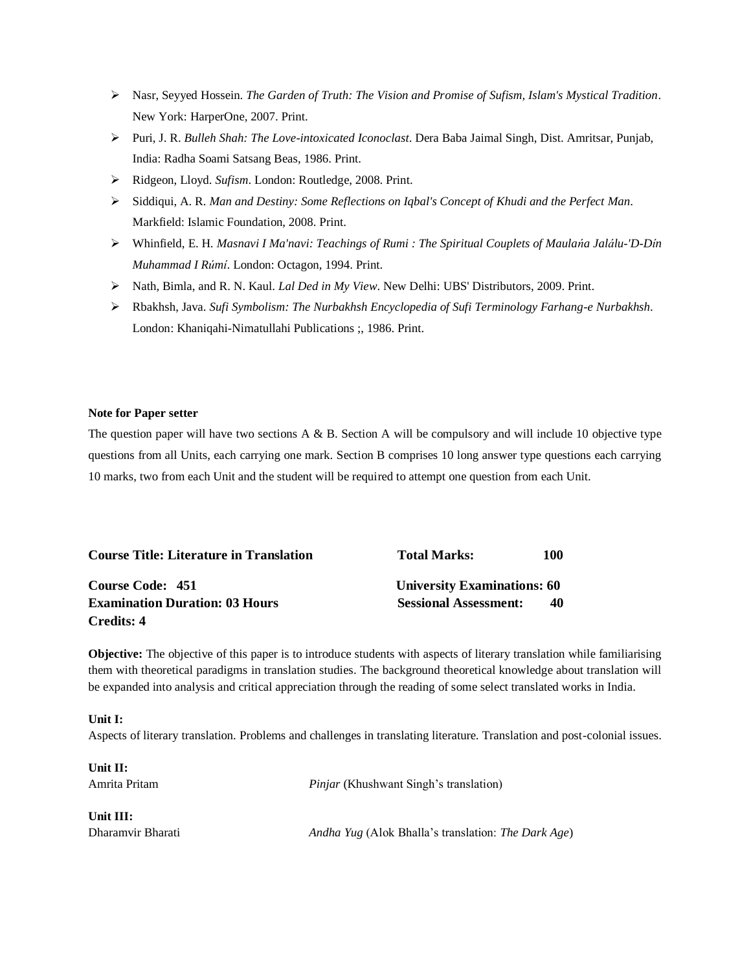- ➢ Nasr, Seyyed Hossein. *The Garden of Truth: The Vision and Promise of Sufism, Islam's Mystical Tradition*. New York: HarperOne, 2007. Print.
- ➢ Puri, J. R. *Bulleh Shah: The Love-intoxicated Iconoclast*. Dera Baba Jaimal Singh, Dist. Amritsar, Punjab, India: Radha Soami Satsang Beas, 1986. Print.
- ➢ Ridgeon, Lloyd. *Sufism*. London: Routledge, 2008. Print.
- ➢ Siddiqui, A. R. *Man and Destiny: Some Reflections on Iqbal's Concept of Khudi and the Perfect Man*. Markfield: Islamic Foundation, 2008. Print.
- ➢ Whinfield, E. H. *Masnavi I Ma'navi: Teachings of Rumi : The Spiritual Couplets of Maulańa Jalálu-'D-Dín Muhammad I Rúmí*. London: Octagon, 1994. Print.
- ➢ Nath, Bimla, and R. N. Kaul. *Lal Ded in My View*. New Delhi: UBS' Distributors, 2009. Print.
- ➢ Rbakhsh, Java. *Sufi Symbolism: The Nurbakhsh Encyclopedia of Sufi Terminology Farhang-e Nurbakhsh*. London: Khaniqahi-Nimatullahi Publications ;, 1986. Print.

#### **Note for Paper setter**

The question paper will have two sections  $A \& B$ . Section A will be compulsory and will include 10 objective type questions from all Units, each carrying one mark. Section B comprises 10 long answer type questions each carrying 10 marks, two from each Unit and the student will be required to attempt one question from each Unit.

| <b>Course Title: Literature in Translation</b> | <b>Total Marks:</b>                | 100 |
|------------------------------------------------|------------------------------------|-----|
| Course Code: 451                               | <b>University Examinations: 60</b> |     |
| <b>Examination Duration: 03 Hours</b>          | <b>Sessional Assessment:</b>       | 40  |
| Credits: 4                                     |                                    |     |

**Objective:** The objective of this paper is to introduce students with aspects of literary translation while familiarising them with theoretical paradigms in translation studies. The background theoretical knowledge about translation will be expanded into analysis and critical appreciation through the reading of some select translated works in India.

#### **Unit I:**

Aspects of literary translation. Problems and challenges in translating literature. Translation and post-colonial issues.

**Unit II:**

Amrita Pritam *Pinjar* (Khushwant Singh's translation)

**Unit III:**

Dharamvir Bharati *Andha Yug* (Alok Bhalla's translation: *The Dark Age*)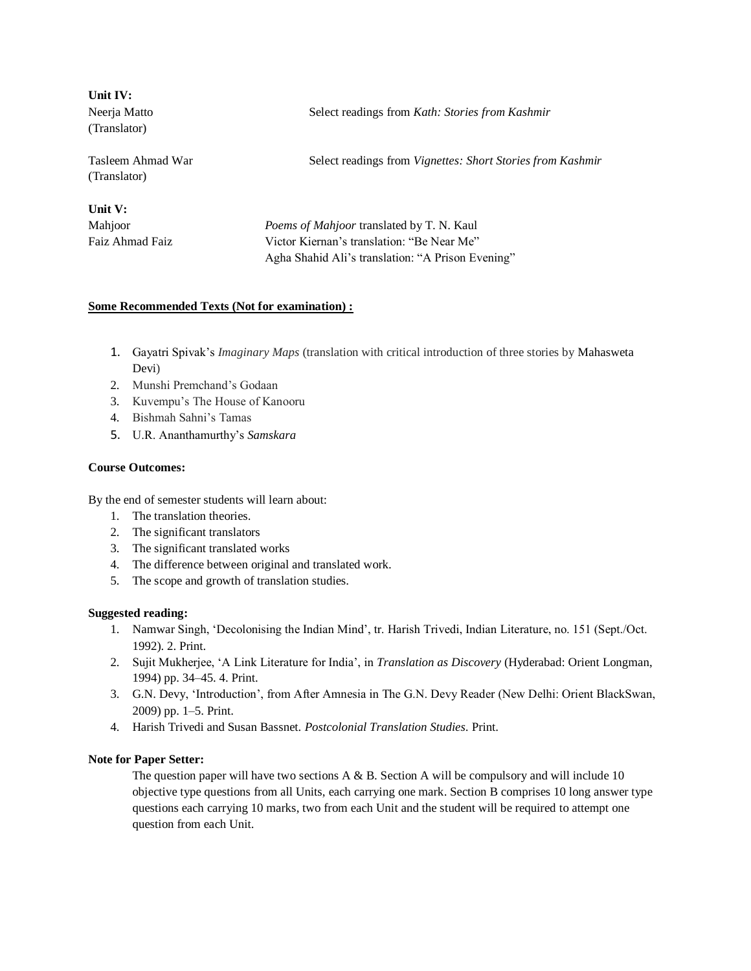| Unit IV:<br>Neerja Matto<br>(Translator) | Select readings from Kath: Stories from Kashmir                   |
|------------------------------------------|-------------------------------------------------------------------|
| Tasleem Ahmad War<br>(Translator)        | Select readings from <i>Vignettes: Short Stories from Kashmir</i> |
| Unit V:                                  |                                                                   |
| Mahjoor                                  | <i>Poems of Mahjoor translated by T. N. Kaul</i>                  |
| Faiz Ahmad Faiz                          | Victor Kiernan's translation: "Be Near Me"                        |
|                                          | Agha Shahid Ali's translation: "A Prison Evening"                 |

# **Some Recommended Texts (Not for examination) :**

- 1. Gayatri Spivak's *Imaginary Maps* (translation with critical introduction of three stories by Mahasweta Devi)
- 2. Munshi Premchand's Godaan
- 3. Kuvempu's The House of Kanooru
- 4. Bishmah Sahni's Tamas
- 5. U.R. Ananthamurthy's *Samskara*

#### **Course Outcomes:**

By the end of semester students will learn about:

- 1. The translation theories.
- 2. The significant translators
- 3. The significant translated works
- 4. The difference between original and translated work.
- 5. The scope and growth of translation studies.

# **Suggested reading:**

- 1. Namwar Singh, 'Decolonising the Indian Mind', tr. Harish Trivedi, Indian Literature, no. 151 (Sept./Oct. 1992). 2. Print.
- 2. Sujit Mukherjee, 'A Link Literature for India', in *Translation as Discovery* (Hyderabad: Orient Longman, 1994) pp. 34–45. 4. Print.
- 3. G.N. Devy, 'Introduction', from After Amnesia in The G.N. Devy Reader (New Delhi: Orient BlackSwan, 2009) pp. 1–5. Print.
- 4. Harish Trivedi and Susan Bassnet. *Postcolonial Translation Studies.* Print.

# **Note for Paper Setter:**

The question paper will have two sections  $A \& B$ . Section A will be compulsory and will include 10 objective type questions from all Units, each carrying one mark. Section B comprises 10 long answer type questions each carrying 10 marks, two from each Unit and the student will be required to attempt one question from each Unit.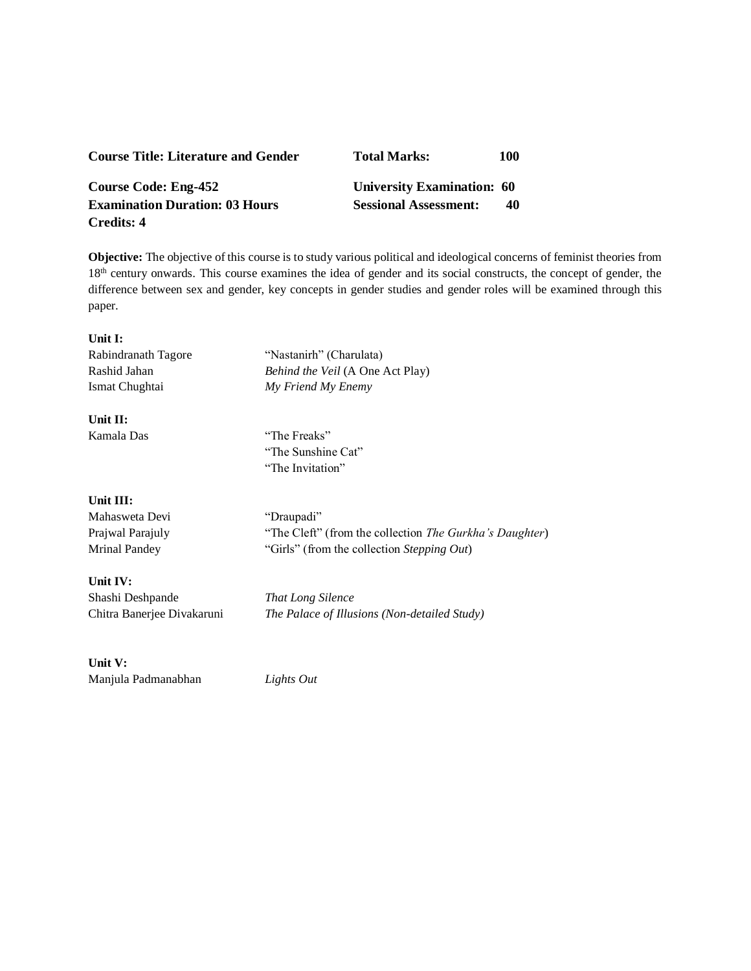| <b>Course Title: Literature and Gender</b> | <b>Total Marks:</b>          | 100 |
|--------------------------------------------|------------------------------|-----|
| Course Code: Eng-452                       | University Examination: 60   |     |
| <b>Examination Duration: 03 Hours</b>      | <b>Sessional Assessment:</b> | 40  |
| Credits: 4                                 |                              |     |

**Objective:** The objective of this course is to study various political and ideological concerns of feminist theories from 18<sup>th</sup> century onwards. This course examines the idea of gender and its social constructs, the concept of gender, the difference between sex and gender, key concepts in gender studies and gender roles will be examined through this paper.

# **Unit I:**

| Rabindranath Tagore | "Nastanirh" (Charulata)                 |
|---------------------|-----------------------------------------|
| Rashid Jahan        | <i>Behind the Veil</i> (A One Act Play) |
| Ismat Chughtai      | My Friend My Enemy                      |
| $I1$ if $I1$ .      |                                         |

### **Unit II:**

Kamala Das "The Freaks" "The Sunshine Cat" "The Invitation"

## **Unit III:**

Mahasweta Devi "Draupadi"

Prajwal Parajuly "The Cleft" (from the collection *The Gurkha's Daughter*) Mrinal Pandey "Girls" (from the collection *Stepping Out*)

# **Unit IV:**

Shashi Deshpande *That Long Silence*

Chitra Banerjee Divakaruni *The Palace of Illusions (Non-detailed Study)*

# **Unit V:**

Manjula Padmanabhan *Lights Out*